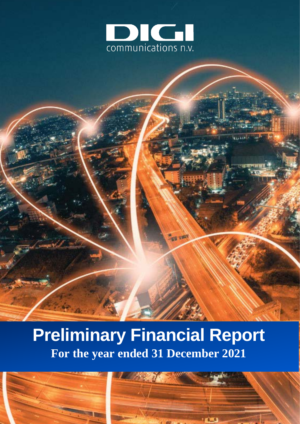

# **Preliminary Financial Report For the year ended 31 December 2021**

**175** 175



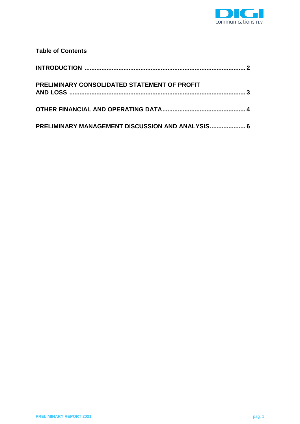

## **Table of Contents**

| PRELIMINARY CONSOLIDATED STATEMENT OF PROFIT     |  |
|--------------------------------------------------|--|
|                                                  |  |
| PRELIMINARY MANAGEMENT DISCUSSION AND ANALYSIS 6 |  |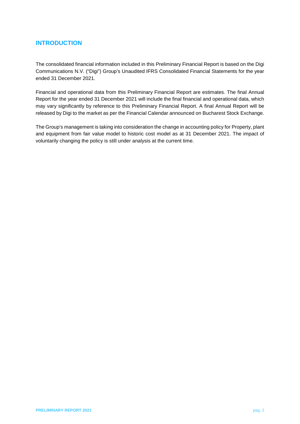## <span id="page-2-0"></span>**INTRODUCTION**

The consolidated financial information included in this Preliminary Financial Report is based on the Digi Communications N.V. ("Digi") Group's Unaudited IFRS Consolidated Financial Statements for the year ended 31 December 2021.

Financial and operational data from this Preliminary Financial Report are estimates. The final Annual Report for the year ended 31 December 2021 will include the final financial and operational data, which may vary significantly by reference to this Preliminary Financial Report. A final Annual Report will be released by Digi to the market as per the Financial Calendar announced on Bucharest Stock Exchange.

The Group's management is taking into consideration the change in accounting policy for Property, plant and equipment from fair value model to historic cost model as at 31 December 2021. The impact of voluntarily changing the policy is still under analysis at the current time.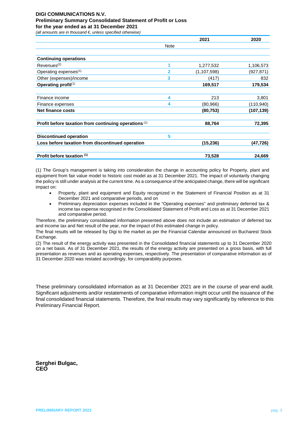## **DIGI COMMUNICATIONS N.V. Preliminary Summary Consolidated Statement of Profit or Loss**

**for the year ended as at 31 December 2021** *(all amounts are in thousand €, unless specified otherwise)*

<span id="page-3-0"></span>

|                                                       |                | 2021          | 2020       |
|-------------------------------------------------------|----------------|---------------|------------|
|                                                       | <b>Note</b>    |               |            |
| <b>Continuing operations</b>                          |                |               |            |
| Revenues <sup>(2)</sup>                               |                | 1,277,532     | 1,106,573  |
| Operating expenses <sup>(1)</sup>                     | $\overline{2}$ | (1, 107, 598) | (927,871)  |
| Other (expenses)/income                               | 3              | (417)         | 832        |
| Operating profit(1)                                   |                | 169,517       | 179,534    |
| Finance income                                        | 4              | 213           | 3,801      |
| Finance expenses                                      | 4              | (80, 966)     | (110, 940) |
| <b>Net finance costs</b>                              |                | (80, 753)     | (107, 139) |
| Profit before taxation from continuing operations (1) |                | 88,764        | 72,395     |
| <b>Discontinued operation</b>                         | 5              |               |            |
| Loss before taxation from discontinued operation      |                | (15, 236)     | (47,726)   |
| Profit before taxation (1)                            |                | 73,528        | 24,669     |

(1) The Group's management is taking into consideration the change in accounting policy for Property, plant and equipment from fair value model to historic cost model as at 31 December 2021. The impact of voluntarily changing the policy is still under analysis at the current time. As a consequence of the anticipated change, there will be significant impact on:

- Property, plant and equipment and Equity recognized in the Statement of Financial Position as at 31 December 2021 and comparative periods, and on
- Preliminary depreciation expenses included in the "Operating expenses" and preliminary deferred tax & income tax expense recognised in the Consolidated Statement of Profit and Loss as at 31 December 2021 and comparative period.

Therefore, the preliminary consolidated information presented above does not include an estimation of deferred tax and income tax and Net result of the year, nor the impact of this estimated change in policy.

The final results will be released by Digi to the market as per the Financial Calendar announced on Bucharest Stock Exchange.

(2) The result of the energy activity was presented in the Consolidated financial statements up to 31 December 2020 on a net basis. As of 31 December 2021, the results of the energy activity are presented on a gross basis, with full presentation as revenues and as operating expenses, respectively. The presentation of comparative information as of 31 December 2020 was restated accordingly, for comparability purposes.

These preliminary consolidated information as at 31 December 2021 are in the course of year-end audit. Significant adjustments and/or restatements of comparative information might occur until the issuance of the final consolidated financial statements. Therefore, the final results may vary significantly by reference to this Preliminary Financial Report.

**Serghei Bulgac, CEO**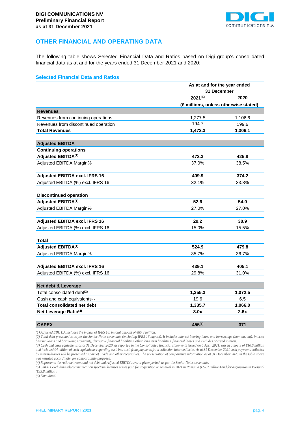

### <span id="page-4-0"></span>**OTHER FINANCIAL AND OPERATING DATA**

The following table shows Selected Financial Data and Ratios based on Digi group's consolidated financial data as at and for the years ended 31 December 2021 and 2020:

#### **Selected Financial Data and Ratios**

|                                          | As at and for the year ended |                                      |  |  |
|------------------------------------------|------------------------------|--------------------------------------|--|--|
|                                          | 31 December                  |                                      |  |  |
|                                          | $2021^{(6)}$                 | 2020                                 |  |  |
|                                          |                              | (€millions, unless otherwise stated) |  |  |
| <b>Revenues</b>                          |                              |                                      |  |  |
| Revenues from continuing operations      | 1,277.5                      | 1,106.6                              |  |  |
| Revenues from discontinued operation     | 194.7                        | 199.6                                |  |  |
| <b>Total Revenues</b>                    | 1,472.3                      | 1,306.1                              |  |  |
| <b>Adjusted EBITDA</b>                   |                              |                                      |  |  |
| <b>Continuing operations</b>             |                              |                                      |  |  |
| Adjusted EBITDA <sup>(1)</sup>           | 472.3                        | 425.8                                |  |  |
| Adjusted EBITDA Margin%                  | 37.0%                        | 38.5%                                |  |  |
| <b>Adjusted EBITDA excl. IFRS 16</b>     | 409.9                        | 374.2                                |  |  |
| Adjusted EBITDA (%) excl. IFRS 16        | 32.1%                        | 33.8%                                |  |  |
| <b>Discontinued operation</b>            |                              |                                      |  |  |
| Adjusted EBITDA <sup>(1)</sup>           | 52.6                         | 54.0                                 |  |  |
| Adjusted EBITDA Margin%                  | 27.0%                        | 27.0%                                |  |  |
| Adjusted EBITDA excl. IFRS 16            | 29.2                         | 30.9                                 |  |  |
| Adjusted EBITDA (%) excl. IFRS 16        | 15.0%                        | 15.5%                                |  |  |
| <b>Total</b>                             |                              |                                      |  |  |
| Adjusted EBITDA <sup>(1)</sup>           | 524.9                        | 479.8                                |  |  |
| Adjusted EBITDA Margin%                  | 35.7%                        | 36.7%                                |  |  |
| <b>Adjusted EBITDA excl. IFRS 16</b>     | 439.1                        | 405.1                                |  |  |
| Adjusted EBITDA (%) excl. IFRS 16        | 29.8%                        | 31.0%                                |  |  |
| Net debt & Leverage                      |                              |                                      |  |  |
| Total consolidated debt <sup>(2)</sup>   | 1,355.3                      | 1,072.5                              |  |  |
| Cash and cash equivalents <sup>(3)</sup> | 19.6                         | 6.5                                  |  |  |
| <b>Total consolidated net debt</b>       | 1,335.7                      | 1,066.0                              |  |  |
| Net Leverage Ratio <sup>(4)</sup>        | 3.0x                         | 2.6x                                 |  |  |
|                                          |                              |                                      |  |  |
| <b>CAPEX</b>                             | $455^{(5)}$                  | 371                                  |  |  |

*(1) Adjusted EBITDA includes the impact of IFRS 16, in total amount of €85.8 million.*

*(2) Total debt presented is as per the Senior Notes covenants (excluding IFRS 16 impact). It includes interest bearing loans and borrowings (non-current), interest bearing loans and borrowings (current), derivative financial liabilities, other long term liabilities, financial leases and excludes accrued interest.*

*(3) Cash and cash equivalents as at 31 December 2020, as reported in the Consolidated financial statements issued on 6 April 2021, was in amount of €10.6 million and included €4 million of cash equivalents regarding cash in transit from payments from collection intermediaries. As at 31 December 2021 such payments collected by intermediaries will be presented as part of Trade and other receivables. The presentation of comparative information as at 31 December 2020 in the table above was restated accordingly, for comparability purposes.*

*(4) Represents the ratio between total net debt and Adjusted EBITDA over a given period, as per the Senior Notes covenants.*

*(5) CAPEX excluding telecommunication spectrum licenses prices paid for acquisition or renewal in 2021 in Romania (€67.7 million) and for acquisition in Portugal (€33.8 million).*

*(6) Unaudited.*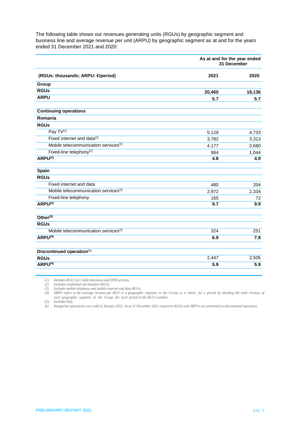The following table shows our revenues generating units (RGUs) by geographic segment and business line and average revenue per unit (ARPU) by geographic segment as at and for the years ended 31 December 2021 and 2020:

|                                                  | As at and for the year ended<br>31 December |        |
|--------------------------------------------------|---------------------------------------------|--------|
| (RGUs: thousands; ARPU: € period)                | 2021                                        | 2020   |
| Group                                            |                                             |        |
| <b>RGUs</b>                                      | 20,460                                      | 18,136 |
| <b>ARPU</b>                                      | 5.7                                         | 5.7    |
| <b>Continuing operations</b>                     |                                             |        |
| Romania                                          |                                             |        |
| <b>RGUs</b>                                      |                                             |        |
| Pay TV(1)                                        | 5,129                                       | 4,733  |
| Fixed internet and data <sup>(2)</sup>           | 3,782                                       | 3,313  |
| Mobile telecommunication services <sup>(3)</sup> | 4,177                                       | 3,680  |
| Fixed-line telephony <sup>(2)</sup>              | 984                                         | 1,044  |
| ARPU <sup>(4)</sup>                              | 4.8                                         | 4.9    |
| <b>Spain</b>                                     |                                             |        |
| <b>RGUs</b>                                      |                                             |        |
| Fixed internet and data                          | 480                                         | 204    |
| Mobile telecommunication services <sup>(3)</sup> | 2,972                                       | 2,334  |
| Fixed-line telephony                             | 165                                         | 72     |
| ARPU <sup>(4)</sup>                              | 9.7                                         | 9.9    |
| Other <sup>(5)</sup>                             |                                             |        |
| <b>RGUs</b>                                      |                                             |        |
| Mobile telecommunication services <sup>(3)</sup> | 324                                         | 251    |
| ARPU <sup>(4)</sup>                              | 6.9                                         | 7.8    |
| Discontinued operation(6)                        |                                             |        |
| <b>RGUs</b>                                      | 2,447                                       | 2,505  |
| ARPU <sup>(4)</sup>                              | 5.9                                         | 5.9    |

*(1) Includes RGUs for Cable television and DTH services.*

*(2) Includes residential and business RGUs.*

*(3) Includes mobile telephony and mobile internet and data RGUs.*

(4) ARPU refers to the average revenue per RGU in a geographic segment or the Group as a whole, for a period by dividing the total revenue of *such geographic segment, or the Group, for such period to the RGUs number.*

*(5) Includes Italy*

*(6) Hungarian operations were sold in January 2022. As at 31 December 2021 respective RGUs and ARPUs are presented as discontinued operation.*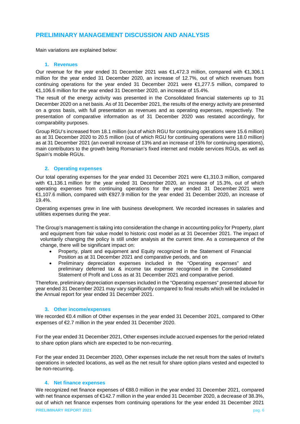#### <span id="page-6-0"></span>**PRELIMINARY MANAGEMENT DISCUSSION AND ANALYSIS**

Main variations are explained below:

#### **1. Revenues**

<span id="page-6-1"></span>Our revenue for the year ended 31 December 2021 was €1,472.3 million, compared with €1,306.1 million for the year ended 31 December 2020, an increase of 12.7%, out of which revenues from continuing operations for the year ended 31 December 2021 were €1,277.5 million, compared to €1,106.6 million for the year ended 31 December 2020, an increase of 15.4%.

The result of the energy activity was presented in the Consolidated financial statements up to 31 December 2020 on a net basis. As of 31 December 2021, the results of the energy activity are presented on a gross basis, with full presentation as revenues and as operating expenses, respectively. The presentation of comparative information as of 31 December 2020 was restated accordingly, for comparability purposes.

Group RGU's increased from 18.1 million (out of which RGU for continuing operations were 15.6 million) as at 31 December 2020 to 20.5 million (out of which RGU for continuing operations were 18.0 million) as at 31 December 2021 (an overall increase of 13% and an increase of 15% for continuing operations), main contributors to the growth being Romanian's fixed internet and mobile services RGUs, as well as Spain's mobile RGUs.

#### <span id="page-6-3"></span><span id="page-6-2"></span>**2. Operating expenses**

Our total operating expenses for the year ended 31 December 2021 were €1,310.3 million, compared with €1,136.1 million for the year ended 31 December 2020, an increase of 15.3%, out of which operating expenses from continuing operations for the year ended 31 December 2021 were €1,107.6 million, compared with €927.9 million for the year ended 31 December 2020, an increase of 19.4%.

Operating expenses grew in line with business development. We recorded increases in salaries and utilities expenses during the year.

- The Group's management is taking into consideration the change in accounting policy for Property, plant and equipment from fair value model to historic cost model as at 31 December 2021. The impact of voluntarily changing the policy is still under analysis at the current time. As a consequence of the change, there will be significant impact on:
	- Property, plant and equipment and Equity recognized in the Statement of Financial Position as at 31 December 2021 and comparative periods, and on
	- Preliminary depreciation expenses included in the "Operating expenses" and preliminary deferred tax & income tax expense recognised in the Consolidated Statement of Profit and Loss as at 31 December 2021 and comparative period.

Therefore, preliminary depreciation expenses included in the "Operating expenses" presented above for year ended 31 December 2021 may vary significantly compared to final results which will be included in the Annual report for year ended 31 December 2021.

#### **3. Other income/expenses**

We recorded €0.4 million of Other expenses in the year ended 31 December 2021, compared to Other expenses of €2.7 million in the year ended 31 December 2020.

For the year ended 31 December 2021, Other expenses include accrued expenses for the period related to share option plans which are expected to be non-recurring.

For the year ended 31 December 2020, Other expenses include the net result from the sales of Invitel's operations in selected locations, as well as the net result for share option plans vested and expected to be non-recurring.

#### **4. Net finance expenses**

<span id="page-6-4"></span>**PRELIMINARY REPORT 2021** pag. 6 We recognized net finance expenses of €88.0 million in the year ended 31 December 2021, compared with net finance expenses of €142.7 million in the year ended 31 December 2020, a decrease of 38.3%, out of which net finance expenses from continuing operations for the year ended 31 December 2021